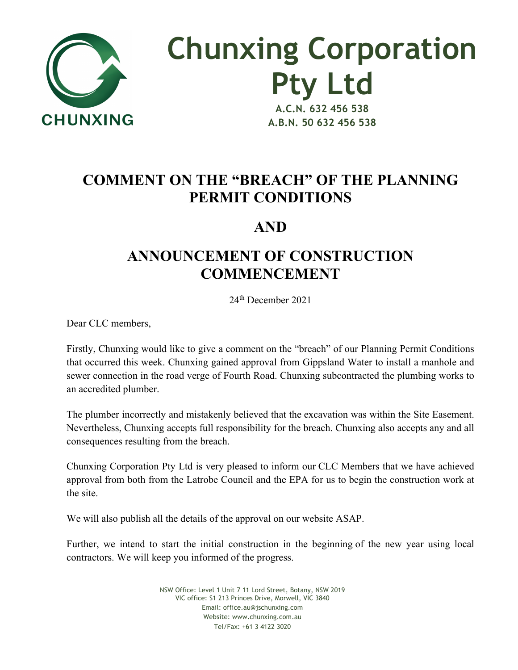

**Chunxing Corporation Pty Ltd A.C.N. 632 456 538**

**A.B.N. 50 632 456 538**

## **COMMENT ON THE "BREACH" OF THE PLANNING PERMIT CONDITIONS**

## **AND**

## **ANNOUNCEMENT OF CONSTRUCTION COMMENCEMENT**

24th December 2021

Dear CLC members,

Firstly, Chunxing would like to give a comment on the "breach" of our Planning Permit Conditions that occurred this week. Chunxing gained approval from Gippsland Water to install a manhole and sewer connection in the road verge of Fourth Road. Chunxing subcontracted the plumbing works to an accredited plumber.

The plumber incorrectly and mistakenly believed that the excavation was within the Site Easement. Nevertheless, Chunxing accepts full responsibility for the breach. Chunxing also accepts any and all consequences resulting from the breach.

Chunxing Corporation Pty Ltd is very pleased to inform our CLC Members that we have achieved approval from both from the Latrobe Council and the EPA for us to begin the construction work at the site.

We will also publish all the details of the approval on our website ASAP.

Further, we intend to start the initial construction in the beginning of the new year using local contractors. We will keep you informed of the progress.

> NSW Office: Level 1 Unit 7 11 Lord Street, Botany, NSW 2019 VIC office: S1 213 Princes Drive, Morwell, VIC 3840 Email: office.au@jschunxing.com Website: www.chunxing.com.au Tel/Fax: +61 3 4122 3020